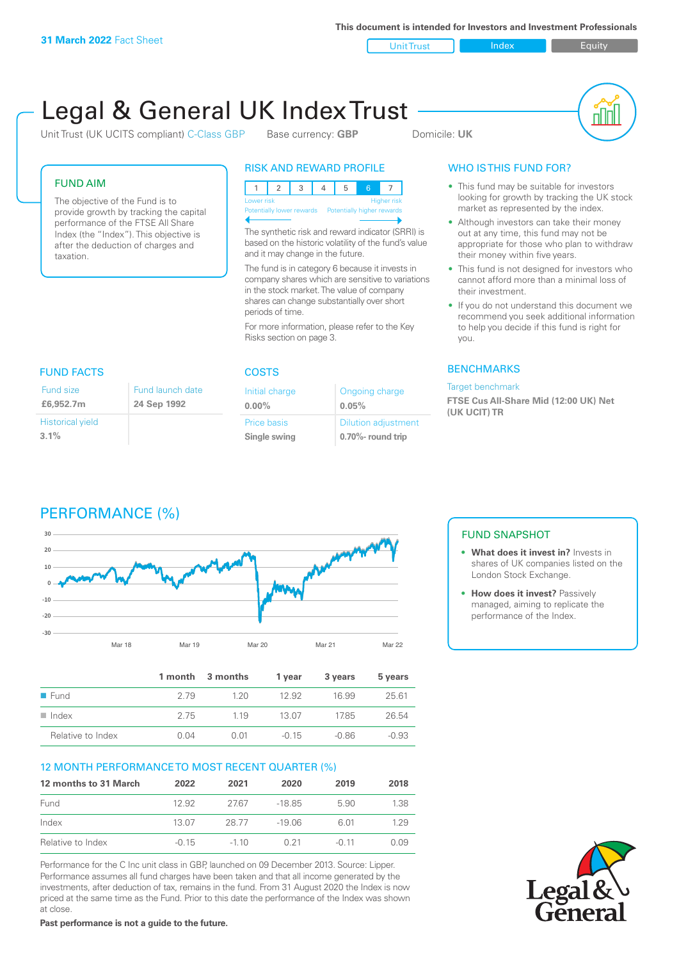**This document is intended for Investors and Investment Professionals**

Unit Trust Index **Index** Equity

# Legal & General UK Index Trust

Unit Trust (UK UCITS compliant) C-Class GBP Base currency: **GBP** Domicile: UK

nl M

#### FUND AIM

The objective of the Fund is to provide growth by tracking the capital performance of the FTSE All Share Index (the "Index"). This objective is after the deduction of charges and taxation.

#### RISK AND REWARD PROFILE

|                           | Lower risk<br><b>Higher risk</b> |  |  |                            |  |  |  |
|---------------------------|----------------------------------|--|--|----------------------------|--|--|--|
| Potentially lower rewards |                                  |  |  | Potentially higher rewards |  |  |  |
|                           |                                  |  |  |                            |  |  |  |

The synthetic risk and reward indicator (SRRI) is based on the historic volatility of the fund's value and it may change in the future.

The fund is in category 6 because it invests in company shares which are sensitive to variations in the stock market. The value of company shares can change substantially over short periods of time.

For more information, please refer to the Key Risks section on page 3.

| <b>FUND FACTS</b>               |                                 | <b>COSTS</b>           |
|---------------------------------|---------------------------------|------------------------|
| Fund size<br>£6,952.7m          | Fund launch date<br>24 Sep 1992 | Initial ch<br>$0.00\%$ |
| <b>Historical yield</b><br>3.1% |                                 | Price bas<br>Single sy |

| Initial charge     | Ongoing charge             |
|--------------------|----------------------------|
| $0.00\%$           | 0.05%                      |
| <b>Price basis</b> | <b>Dilution adjustment</b> |
| Single swing       | 0.70%- round trip          |

### WHO IS THIS FUND FOR?

- This fund may be suitable for investors looking for growth by tracking the UK stock market as represented by the index.
- Although investors can take their money out at any time, this fund may not be appropriate for those who plan to withdraw their money within five years.
- This fund is not designed for investors who cannot afford more than a minimal loss of their investment.
- If you do not understand this document we recommend you seek additional information to help you decide if this fund is right for you.

#### **BENCHMARKS**

#### Target benchmark

**FTSE Cus All-Share Mid (12:00 UK) Net (UK UCIT) TR**



## **1 month 3 months 1 year 3 years 5 years** n Fund 2.79 1.20 12.92 16.99 25.61 n Index 2.75 1.19 13.07 17.85 26.54 Relative to Index  $0.04$   $0.01$   $0.01$   $0.03$   $0.86$   $0.93$

Mar 18 Mar 19 Mar 20 Mar 21 Mar 22

#### 12 MONTH PERFORMANCE TO MOST RECENT QUARTER (%)

| 12 months to 31 March | 2022    | 2021   | 2020     | 2019    | 2018 |
|-----------------------|---------|--------|----------|---------|------|
| Fund                  | 12.92   | 2767   | $-18.85$ | 5.90    | 1.38 |
| Index                 | 13.07   | 28.77  | -19.06   | 6.01    | 129  |
| Relative to Index     | $-0.15$ | $-110$ | O 21     | $-0.11$ | N N9 |

Performance for the C Inc unit class in GBP, launched on 09 December 2013. Source: Lipper. Performance assumes all fund charges have been taken and that all income generated by the investments, after deduction of tax, remains in the fund. From 31 August 2020 the Index is now priced at the same time as the Fund. Prior to this date the performance of the Index was shown at close.

**Past performance is not a guide to the future.**

#### FUND SNAPSHOT

- **• What does it invest in?** Invests in shares of UK companies listed on the London Stock Exchange.
- **• How does it invest?** Passively managed, aiming to replicate the performance of the Index.

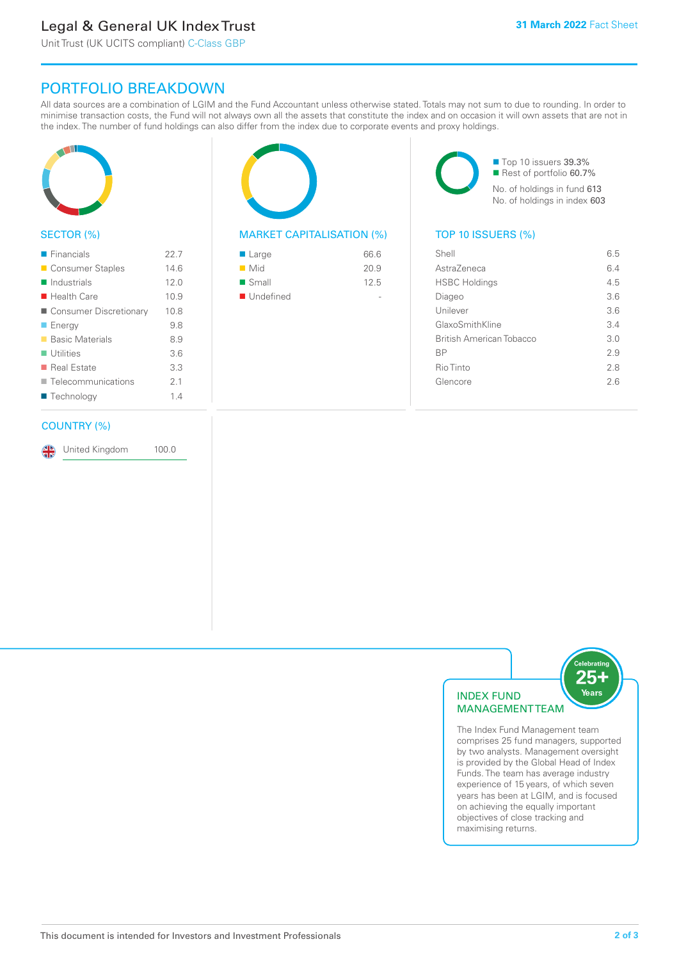## Legal & General UK Index Trust

Unit Trust (UK UCITS compliant) C-Class GBP

### PORTFOLIO BREAKDOWN

All data sources are a combination of LGIM and the Fund Accountant unless otherwise stated. Totals may not sum to due to rounding. In order to minimise transaction costs, the Fund will not always own all the assets that constitute the index and on occasion it will own assets that are not in the index. The number of fund holdings can also differ from the index due to corporate events and proxy holdings.



#### SECTOR (%)

| $\blacksquare$ Financials  | 227  |
|----------------------------|------|
| ■ Consumer Staples         | 14.6 |
| $\blacksquare$ Industrials | 12.0 |
| $\blacksquare$ Health Care | 10.9 |
| ■ Consumer Discretionary   | 10.8 |
| $\blacksquare$ Energy      | 9.8  |
| ■ Basic Materials          | 8.9  |
| $\blacksquare$ Utilities   | 3.6  |
| ■ Real Estate              | 3.3  |
| Telecommunications         | 2.1  |
| ■ Technology               | 1.4  |
|                            |      |

#### COUNTRY (%)

United Kingdom 100.0



#### MARKET CAPITALISATION (%) TOP 10 ISSUERS (%)

| 66.6 |
|------|
| 20.9 |
| 12.5 |
|      |
|      |

■ Top 10 issuers 39.3% ■ Rest of portfolio 60.7% No. of holdings in fund 613 No. of holdings in index 603

| Shell                    | 6.5 |
|--------------------------|-----|
| AstraZeneca              | 6.4 |
| <b>HSBC Holdings</b>     | 4.5 |
| Diageo                   | 36  |
| Unilever                 | 3.6 |
| GlaxoSmithKline          | 3.4 |
| British American Tobacco | 3.0 |
| <b>BP</b>                | 29  |
| Rio Tinto                | 2.8 |
| Glencore                 | 26  |
|                          |     |



The Index Fund Management team comprises 25 fund managers, supported by two analysts. Management oversight is provided by the Global Head of Index Funds. The team has average industry experience of 15 years, of which seven years has been at LGIM, and is focused on achieving the equally important objectives of close tracking and maximising returns.